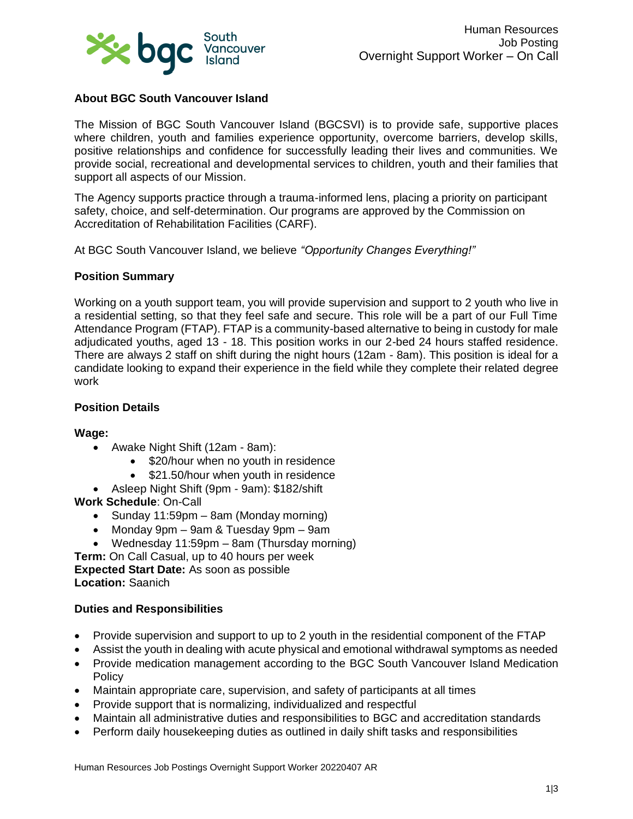

# **About BGC South Vancouver Island**

The Mission of BGC South Vancouver Island (BGCSVI) is to provide safe, supportive places where children, youth and families experience opportunity, overcome barriers, develop skills, positive relationships and confidence for successfully leading their lives and communities. We provide social, recreational and developmental services to children, youth and their families that support all aspects of our Mission.

The Agency supports practice through a trauma-informed lens, placing a priority on participant safety, choice, and self-determination. Our programs are approved by the Commission on Accreditation of Rehabilitation Facilities (CARF).

At BGC South Vancouver Island, we believe *"Opportunity Changes Everything!"*

#### **Position Summary**

Working on a youth support team, you will provide supervision and support to 2 youth who live in a residential setting, so that they feel safe and secure. This role will be a part of our Full Time Attendance Program (FTAP). FTAP is a community-based alternative to being in custody for male adjudicated youths, aged 13 - 18. This position works in our 2-bed 24 hours staffed residence. There are always 2 staff on shift during the night hours (12am - 8am). This position is ideal for a candidate looking to expand their experience in the field while they complete their related degree work

#### **Position Details**

#### **Wage:**

- Awake Night Shift (12am 8am):
	- \$20/hour when no youth in residence
	- \$21.50/hour when youth in residence
- Asleep Night Shift (9pm 9am): \$182/shift
- **Work Schedule**: On-Call
	- Sunday 11:59pm 8am (Monday morning)
	- Monday 9pm 9am & Tuesday 9pm 9am
	- Wednesday 11:59pm 8am (Thursday morning)

**Term:** On Call Casual, up to 40 hours per week **Expected Start Date:** As soon as possible **Location:** Saanich

## **Duties and Responsibilities**

- Provide supervision and support to up to 2 youth in the residential component of the FTAP
- Assist the youth in dealing with acute physical and emotional withdrawal symptoms as needed
- Provide medication management according to the BGC South Vancouver Island Medication Policy
- Maintain appropriate care, supervision, and safety of participants at all times
- Provide support that is normalizing, individualized and respectful
- Maintain all administrative duties and responsibilities to BGC and accreditation standards
- Perform daily housekeeping duties as outlined in daily shift tasks and responsibilities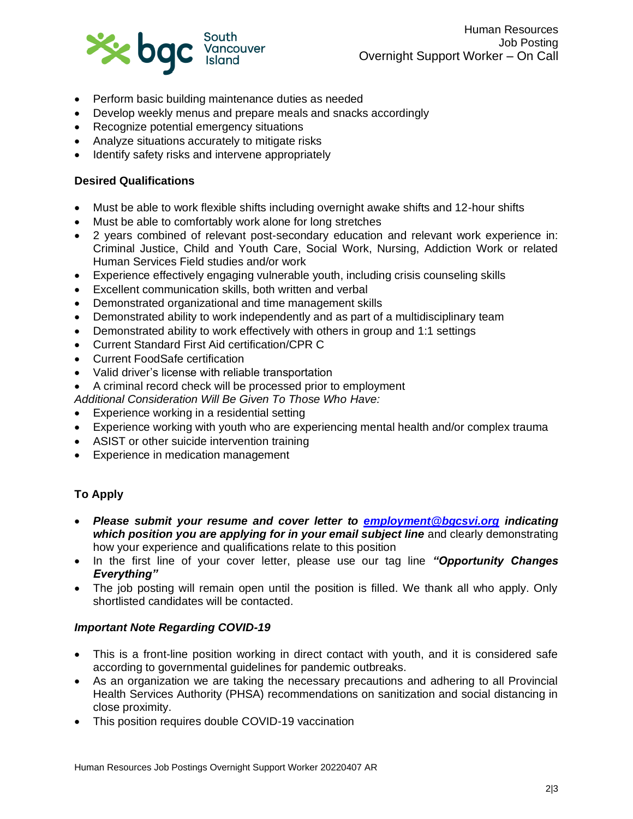

- Perform basic building maintenance duties as needed
- Develop weekly menus and prepare meals and snacks accordingly
- Recognize potential emergency situations
- Analyze situations accurately to mitigate risks
- Identify safety risks and intervene appropriately

## **Desired Qualifications**

- Must be able to work flexible shifts including overnight awake shifts and 12-hour shifts
- Must be able to comfortably work alone for long stretches
- 2 years combined of relevant post-secondary education and relevant work experience in: Criminal Justice, Child and Youth Care, Social Work, Nursing, Addiction Work or related Human Services Field studies and/or work
- Experience effectively engaging vulnerable youth, including crisis counseling skills
- Excellent communication skills, both written and verbal
- Demonstrated organizational and time management skills
- Demonstrated ability to work independently and as part of a multidisciplinary team
- Demonstrated ability to work effectively with others in group and 1:1 settings
- Current Standard First Aid certification/CPR C
- Current FoodSafe certification
- Valid driver's license with reliable transportation
- A criminal record check will be processed prior to employment

*Additional Consideration Will Be Given To Those Who Have:*

- Experience working in a residential setting
- Experience working with youth who are experiencing mental health and/or complex trauma
- ASIST or other suicide intervention training
- Experience in medication management

# **To Apply**

- *Please submit your resume and cover letter to [employment@bgcsvi.org](mailto:employment@bgcsvi.org) indicating which position you are applying for in your email subject line* and clearly demonstrating how your experience and qualifications relate to this position
- In the first line of your cover letter, please use our tag line *"Opportunity Changes Everything"*
- The job posting will remain open until the position is filled. We thank all who apply. Only shortlisted candidates will be contacted.

## *Important Note Regarding COVID-19*

- This is a front-line position working in direct contact with youth, and it is considered safe according to governmental guidelines for pandemic outbreaks.
- As an organization we are taking the necessary precautions and adhering to all Provincial Health Services Authority (PHSA) recommendations on sanitization and social distancing in close proximity.
- This position requires double COVID-19 vaccination